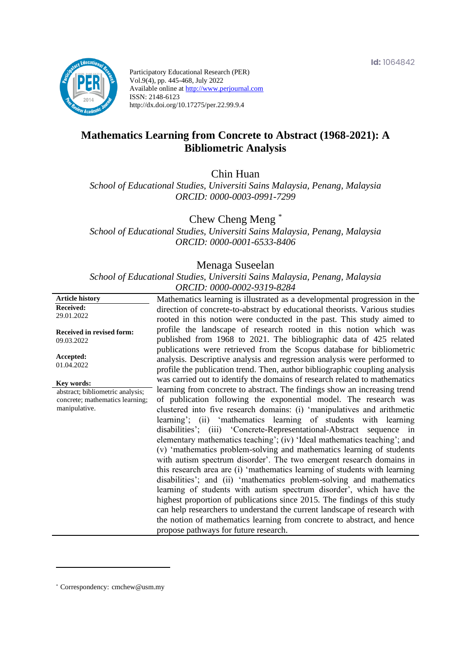

Participatory Educational Research (PER) Vol.9(4), pp. 445-468, July 2022 Available online at http://www.perjournal.com ISSN: 2148-6123 http://dx.doi.org/10.17275/per.22.99.9.4

# **Mathematics Learning from Concrete to Abstract (1968-2021): A Bibliometric Analysis**

Chin Huan

*School of Educational Studies, Universiti Sains Malaysia, Penang, Malaysia ORCID: 0000-0003-0991-7299*

Chew Cheng Meng \*

*School of Educational Studies, Universiti Sains Malaysia, Penang, Malaysia ORCID: 0000-0001-6533-8406*

#### Menaga Suseelan

*School of Educational Studies, Universiti Sains Malaysia, Penang, Malaysia ORCID: 0000-0002-9319-8284*

| <b>Article history</b>                         | Mathematics learning is illustrated as a developmental progression in the                                                                               |
|------------------------------------------------|---------------------------------------------------------------------------------------------------------------------------------------------------------|
| <b>Received:</b>                               | direction of concrete-to-abstract by educational theorists. Various studies                                                                             |
| 29.01.2022                                     | rooted in this notion were conducted in the past. This study aimed to                                                                                   |
| <b>Received in revised form:</b><br>09.03.2022 | profile the landscape of research rooted in this notion which was<br>published from 1968 to 2021. The bibliographic data of 425 related                 |
| Accepted:                                      | publications were retrieved from the Scopus database for bibliometric                                                                                   |
| 01.04.2022                                     | analysis. Descriptive analysis and regression analysis were performed to<br>profile the publication trend. Then, author bibliographic coupling analysis |
| Key words:                                     | was carried out to identify the domains of research related to mathematics                                                                              |
| abstract; bibliometric analysis;               | learning from concrete to abstract. The findings show an increasing trend                                                                               |
| concrete; mathematics learning;                | of publication following the exponential model. The research was                                                                                        |
| manipulative.                                  | clustered into five research domains: (i) 'manipulatives and arithmetic                                                                                 |
|                                                | learning'; (ii) 'mathematics learning of students with learning                                                                                         |
|                                                | disabilities'; (iii) 'Concrete-Representational-Abstract sequence in                                                                                    |
|                                                | elementary mathematics teaching'; (iv) 'Ideal mathematics teaching'; and                                                                                |
|                                                | (v) 'mathematics problem-solving and mathematics learning of students                                                                                   |
|                                                | with autism spectrum disorder'. The two emergent research domains in                                                                                    |
|                                                | this research area are (i) 'mathematics learning of students with learning                                                                              |
|                                                | disabilities'; and (ii) 'mathematics problem-solving and mathematics                                                                                    |
|                                                | learning of students with autism spectrum disorder', which have the                                                                                     |
|                                                | highest proportion of publications since 2015. The findings of this study                                                                               |
|                                                |                                                                                                                                                         |
|                                                | can help researchers to understand the current landscape of research with                                                                               |
|                                                | the notion of mathematics learning from concrete to abstract, and hence                                                                                 |
|                                                | propose pathways for future research.                                                                                                                   |

\* [Correspondency:](mailto:Correspondency:) cmchew@usm.my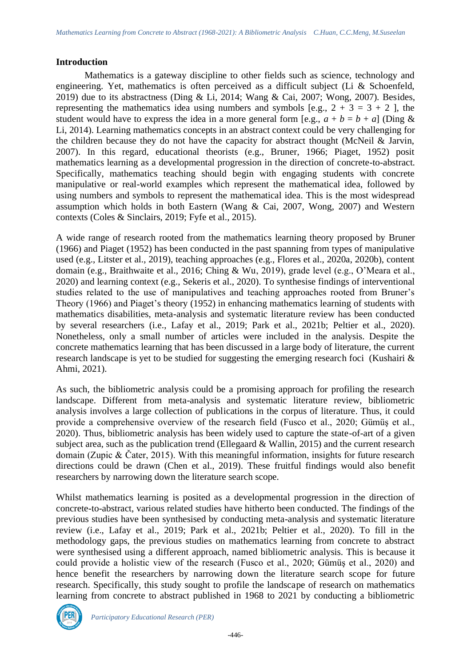## **Introduction**

Mathematics is a gateway discipline to other fields such as science, technology and engineering. Yet, mathematics is often perceived as a difficult subject (Li & Schoenfeld, 2019) due to its abstractness (Ding & Li, 2014; Wang & Cai, 2007; Wong, 2007). Besides, representing the mathematics idea using numbers and symbols [e.g.,  $2 + 3 = 3 + 2$ ], the student would have to express the idea in a more general form [e.g.,  $a + b = b + a$ ] (Ding & Li, 2014). Learning mathematics concepts in an abstract context could be very challenging for the children because they do not have the capacity for abstract thought (McNeil  $\&$  Jarvin, 2007). In this regard, educational theorists (e.g., Bruner, 1966; Piaget, 1952) posit mathematics learning as a developmental progression in the direction of concrete-to-abstract. Specifically, mathematics teaching should begin with engaging students with concrete manipulative or real-world examples which represent the mathematical idea, followed by using numbers and symbols to represent the mathematical idea. This is the most widespread assumption which holds in both Eastern (Wang & Cai, 2007, Wong, 2007) and Western contexts (Coles & Sinclairs, 2019; Fyfe et al., 2015).

A wide range of research rooted from the mathematics learning theory proposed by Bruner (1966) and Piaget (1952) has been conducted in the past spanning from types of manipulative used (e.g., Litster et al., 2019), teaching approaches (e.g., Flores et al., 2020a, 2020b), content domain (e.g., Braithwaite et al., 2016; Ching & Wu, 2019), grade level (e.g., O'Meara et al., 2020) and learning context (e.g., Sekeris et al., 2020). To synthesise findings of interventional studies related to the use of manipulatives and teaching approaches rooted from Bruner's Theory (1966) and Piaget's theory (1952) in enhancing mathematics learning of students with mathematics disabilities, meta-analysis and systematic literature review has been conducted by several researchers (i.e., Lafay et al., 2019; Park et al., 2021b; Peltier et al., 2020). Nonetheless, only a small number of articles were included in the analysis. Despite the concrete mathematics learning that has been discussed in a large body of literature, the current research landscape is yet to be studied for suggesting the emerging research foci (Kushairi & Ahmi, 2021).

As such, the bibliometric analysis could be a promising approach for profiling the research landscape. Different from meta-analysis and systematic literature review, bibliometric analysis involves a large collection of publications in the corpus of literature. Thus, it could provide a comprehensive overview of the research field (Fusco et al., 2020; Gümüş et al., 2020). Thus, bibliometric analysis has been widely used to capture the state-of-art of a given subject area, such as the publication trend (Ellegaard & Wallin, 2015) and the current research domain (Zupic & Čater, 2015). With this meaningful information, insights for future research directions could be drawn (Chen et al., 2019). These fruitful findings would also benefit researchers by narrowing down the literature search scope.

Whilst mathematics learning is posited as a developmental progression in the direction of concrete-to-abstract, various related studies have hitherto been conducted. The findings of the previous studies have been synthesised by conducting meta-analysis and systematic literature review (i.e., Lafay et al., 2019; Park et al., 2021b; Peltier et al., 2020). To fill in the methodology gaps, the previous studies on mathematics learning from concrete to abstract were synthesised using a different approach, named bibliometric analysis. This is because it could provide a holistic view of the research (Fusco et al., 2020; Gümüş et al., 2020) and hence benefit the researchers by narrowing down the literature search scope for future research. Specifically, this study sought to profile the landscape of research on mathematics learning from concrete to abstract published in 1968 to 2021 by conducting a bibliometric

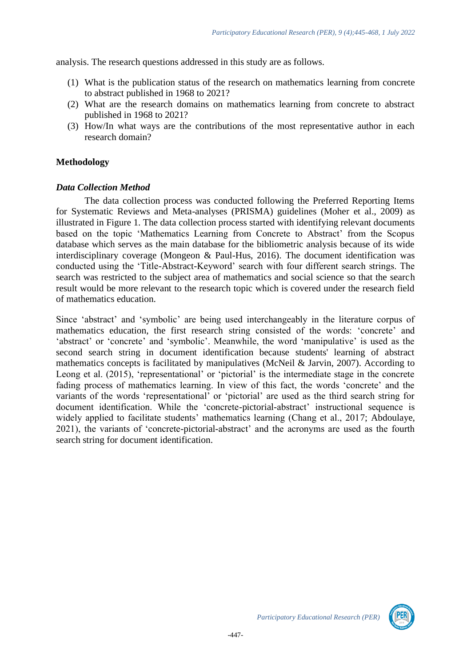analysis. The research questions addressed in this study are as follows.

- (1) What is the publication status of the research on mathematics learning from concrete to abstract published in 1968 to 2021?
- (2) What are the research domains on mathematics learning from concrete to abstract published in 1968 to 2021?
- (3) How/In what ways are the contributions of the most representative author in each research domain?

# **Methodology**

#### *Data Collection Method*

The data collection process was conducted following the Preferred Reporting Items for Systematic Reviews and Meta-analyses (PRISMA) guidelines (Moher et al., 2009) as illustrated in Figure 1. The data collection process started with identifying relevant documents based on the topic 'Mathematics Learning from Concrete to Abstract' from the Scopus database which serves as the main database for the bibliometric analysis because of its wide interdisciplinary coverage (Mongeon & Paul-Hus, 2016). The document identification was conducted using the 'Title-Abstract-Keyword' search with four different search strings. The search was restricted to the subject area of mathematics and social science so that the search result would be more relevant to the research topic which is covered under the research field of mathematics education.

Since 'abstract' and 'symbolic' are being used interchangeably in the literature corpus of mathematics education, the first research string consisted of the words: 'concrete' and 'abstract' or 'concrete' and 'symbolic'. Meanwhile, the word 'manipulative' is used as the second search string in document identification because students' learning of abstract mathematics concepts is facilitated by manipulatives (McNeil & Jarvin, 2007). According to Leong et al. (2015), 'representational' or 'pictorial' is the intermediate stage in the concrete fading process of mathematics learning. In view of this fact, the words 'concrete' and the variants of the words 'representational' or 'pictorial' are used as the third search string for document identification. While the 'concrete-pictorial-abstract' instructional sequence is widely applied to facilitate students' mathematics learning (Chang et al., 2017; Abdoulaye, 2021), the variants of 'concrete-pictorial-abstract' and the acronyms are used as the fourth search string for document identification.

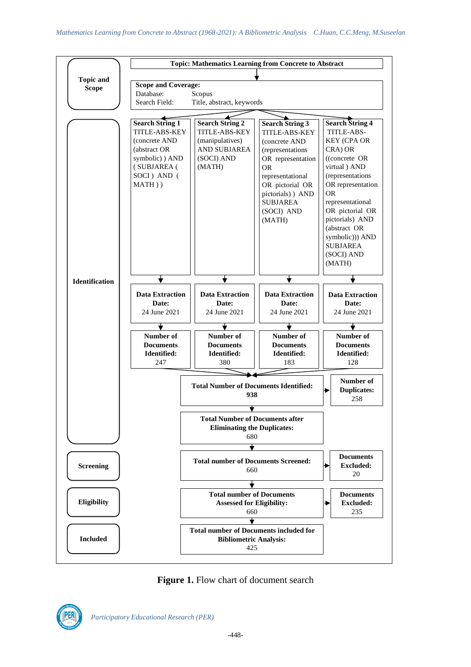

Figure 1. Flow chart of document search

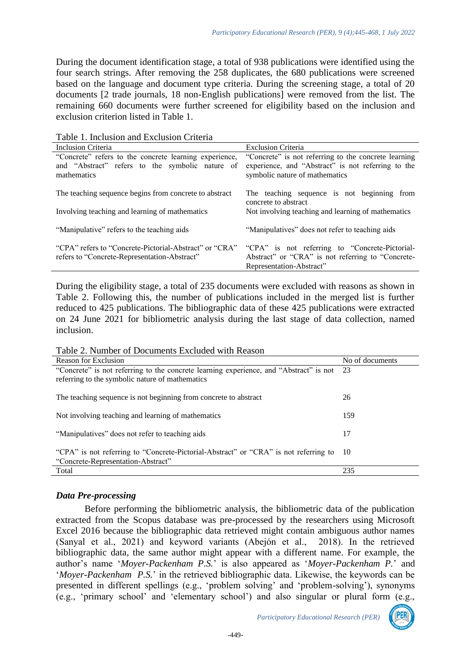During the document identification stage, a total of 938 publications were identified using the four search strings. After removing the 258 duplicates, the 680 publications were screened based on the language and document type criteria. During the screening stage, a total of 20 documents [2 trade journals, 18 non-English publications] were removed from the list. The remaining 660 documents were further screened for eligibility based on the inclusion and exclusion criterion listed in Table 1.

Table 1. Inclusion and Exclusion Criteria

| Inclusion Criteria                                                                                                       | <b>Exclusion Criteria</b>                                                                                                                    |  |  |
|--------------------------------------------------------------------------------------------------------------------------|----------------------------------------------------------------------------------------------------------------------------------------------|--|--|
| "Concrete" refers to the concrete learning experience,<br>and "Abstract" refers to the symbolic nature of<br>mathematics | "Concrete" is not referring to the concrete learning<br>experience, and "Abstract" is not referring to the<br>symbolic nature of mathematics |  |  |
| The teaching sequence begins from concrete to abstract                                                                   | The teaching sequence is not beginning from<br>concrete to abstract                                                                          |  |  |
| Involving teaching and learning of mathematics                                                                           | Not involving teaching and learning of mathematics                                                                                           |  |  |
| "Manipulative" refers to the teaching aids                                                                               | "Manipulatives" does not refer to teaching aids                                                                                              |  |  |
| "CPA" refers to "Concrete-Pictorial-Abstract" or "CRA"<br>refers to "Concrete-Representation-Abstract"                   | "CPA" is not referring to "Concrete-Pictorial-<br>Abstract" or "CRA" is not referring to "Concrete-<br>Representation-Abstract"              |  |  |

During the eligibility stage, a total of 235 documents were excluded with reasons as shown in Table 2. Following this, the number of publications included in the merged list is further reduced to 425 publications. The bibliographic data of these 425 publications were extracted on 24 June 2021 for bibliometric analysis during the last stage of data collection, named inclusion.

Table 2. Number of Documents Excluded with Reason

| Reason for Exclusion                                                                   | No of documents |
|----------------------------------------------------------------------------------------|-----------------|
| "Concrete" is not referring to the concrete learning experience, and "Abstract" is not | -23             |
| referring to the symbolic nature of mathematics                                        |                 |
|                                                                                        |                 |
| The teaching sequence is not beginning from concrete to abstract                       | 26              |
|                                                                                        |                 |
| Not involving teaching and learning of mathematics                                     | 159             |
|                                                                                        |                 |
| "Manipulatives" does not refer to teaching aids                                        | 17              |
|                                                                                        |                 |
| "CPA" is not referring to "Concrete-Pictorial-Abstract" or "CRA" is not referring to   | 10              |
| "Concrete-Representation-Abstract"                                                     |                 |
| Total                                                                                  | 235             |

# *Data Pre-processing*

Before performing the bibliometric analysis, the bibliometric data of the publication extracted from the Scopus database was pre-processed by the researchers using Microsoft Excel 2016 because the bibliographic data retrieved might contain ambiguous author names (Sanyal et al., 2021) and keyword variants (Abejón et al., 2018). In the retrieved bibliographic data, the same author might appear with a different name. For example, the author's name '*Moyer-Packenham P.S.*' is also appeared as '*Moyer-Packenham P.*' and '*Moyer-Packenham P.S.*' in the retrieved bibliographic data. Likewise, the keywords can be presented in different spellings (e.g., 'problem solving' and 'problem-solving'), synonyms (e.g., 'primary school' and 'elementary school') and also singular or plural form (e.g.,

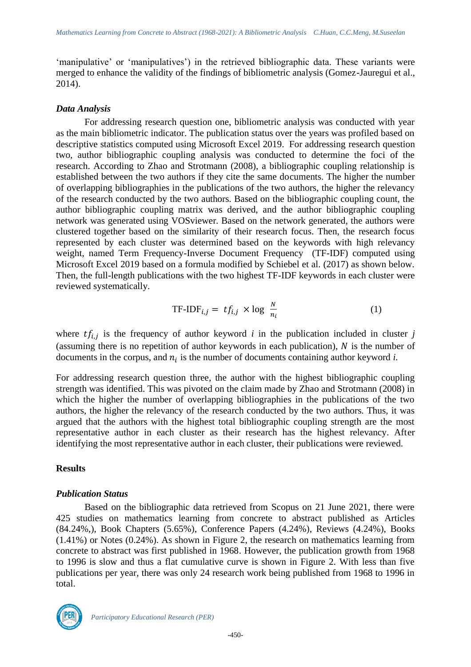'manipulative' or 'manipulatives') in the retrieved bibliographic data. These variants were merged to enhance the validity of the findings of bibliometric analysis (Gomez-Jauregui et al., 2014).

## *Data Analysis*

For addressing research question one, bibliometric analysis was conducted with year as the main bibliometric indicator. The publication status over the years was profiled based on descriptive statistics computed using Microsoft Excel 2019. For addressing research question two, author bibliographic coupling analysis was conducted to determine the foci of the research. According to Zhao and Strotmann (2008), a bibliographic coupling relationship is established between the two authors if they cite the same documents. The higher the number of overlapping bibliographies in the publications of the two authors, the higher the relevancy of the research conducted by the two authors. Based on the bibliographic coupling count, the author bibliographic coupling matrix was derived, and the author bibliographic coupling network was generated using VOSviewer. Based on the network generated, the authors were clustered together based on the similarity of their research focus. Then, the research focus represented by each cluster was determined based on the keywords with high relevancy weight, named Term Frequency-Inverse Document Frequency (TF-IDF) computed using Microsoft Excel 2019 based on a formula modified by Schiebel et al. (2017) as shown below. Then, the full-length publications with the two highest TF-IDF keywords in each cluster were reviewed systematically.

$$
TF-IDF_{i,j} = tf_{i,j} \times \log \frac{N}{n_i}
$$
 (1)

where  $tf_{i,j}$  is the frequency of author keyword *i* in the publication included in cluster *j* (assuming there is no repetition of author keywords in each publication),  $N$  is the number of documents in the corpus, and  $n_i$  is the number of documents containing author keyword  $i$ .

For addressing research question three, the author with the highest bibliographic coupling strength was identified. This was pivoted on the claim made by Zhao and Strotmann (2008) in which the higher the number of overlapping bibliographies in the publications of the two authors, the higher the relevancy of the research conducted by the two authors. Thus, it was argued that the authors with the highest total bibliographic coupling strength are the most representative author in each cluster as their research has the highest relevancy. After identifying the most representative author in each cluster, their publications were reviewed.

# **Results**

#### *Publication Status*

Based on the bibliographic data retrieved from Scopus on 21 June 2021, there were 425 studies on mathematics learning from concrete to abstract published as Articles (84.24%,), Book Chapters (5.65%), Conference Papers (4.24%), Reviews (4.24%), Books (1.41%) or Notes (0.24%). As shown in Figure 2, the research on mathematics learning from concrete to abstract was first published in 1968. However, the publication growth from 1968 to 1996 is slow and thus a flat cumulative curve is shown in Figure 2. With less than five publications per year, there was only 24 research work being published from 1968 to 1996 in total.

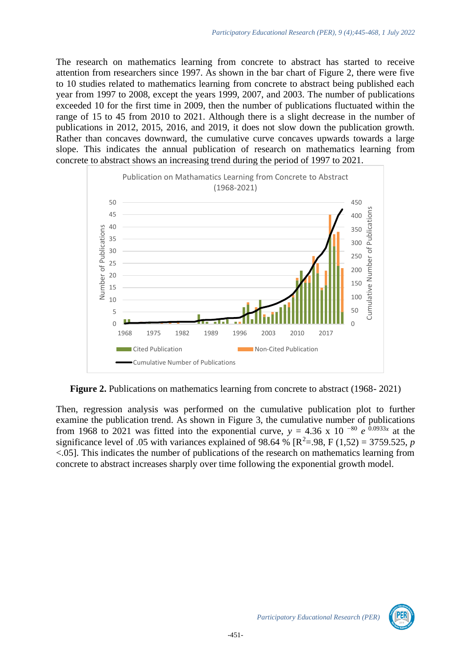The research on mathematics learning from concrete to abstract has started to receive attention from researchers since 1997. As shown in the bar chart of Figure 2, there were five to 10 studies related to mathematics learning from concrete to abstract being published each year from 1997 to 2008, except the years 1999, 2007, and 2003. The number of publications exceeded 10 for the first time in 2009, then the number of publications fluctuated within the range of 15 to 45 from 2010 to 2021. Although there is a slight decrease in the number of publications in 2012, 2015, 2016, and 2019, it does not slow down the publication growth. Rather than concaves downward, the cumulative curve concaves upwards towards a large slope. This indicates the annual publication of research on mathematics learning from concrete to abstract shows an increasing trend during the period of 1997 to 2021.



**Figure 2.** Publications on mathematics learning from concrete to abstract (1968-2021)

Then, regression analysis was performed on the cumulative publication plot to further examine the publication trend. As shown in Figure 3, the cumulative number of publications from 1968 to 2021 was fitted into the exponential curve,  $y = 4.36 \times 10^{-80} e^{-0.0933x}$  at the significance level of .05 with variances explained of 98.64 %  $[\mathbb{R}^2 = .98, \mathbb{F} (1,52) = 3759.525, p$ <.05]. This indicates the number of publications of the research on mathematics learning from concrete to abstract increases sharply over time following the exponential growth model.

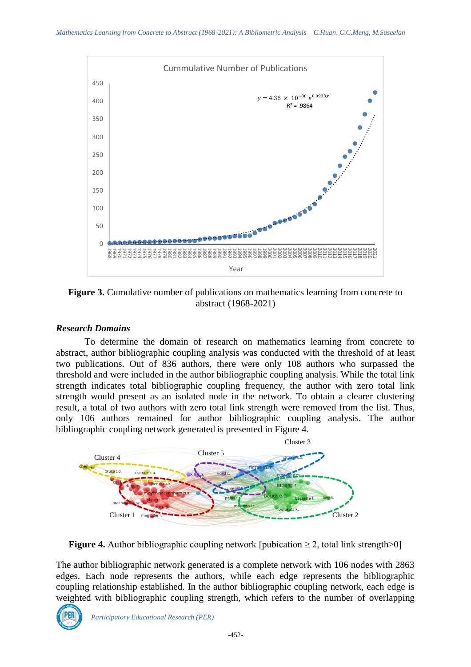

Figure 3. Cumulative number of publications on mathematics learning from concrete to abstract (1968-2021)

# *Research Domains*

To determine the domain of research on mathematics learning from concrete to abstract, author bibliographic coupling analysis was conducted with the threshold of at least two publications. Out of 836 authors, there were only 108 authors who surpassed the threshold and were included in the author bibliographic coupling analysis. While the total link strength indicates total bibliographic coupling frequency, the author with zero total link strength would present as an isolated node in the network. To obtain a clearer clustering result, a total of two authors with zero total link strength were removed from the list. Thus, only 106 authors remained for author bibliographic coupling analysis. The author bibliographic coupling network generated is presented in Figure 4.



**Figure 4.** Author bibliographic coupling network [pubication  $\geq 2$ , total link strength $>0$ ]

The author bibliographic network generated is a complete network with 106 nodes with 2863 edges. Each node represents the authors, while each edge represents the bibliographic coupling relationship established. In the author bibliographic coupling network, each edge is weighted with bibliographic coupling strength, which refers to the number of overlapping

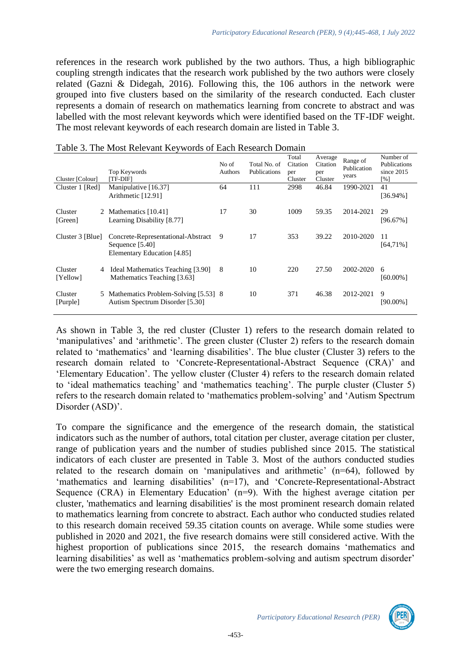references in the research work published by the two authors. Thus, a high bibliographic coupling strength indicates that the research work published by the two authors were closely related (Gazni & Didegah, 2016). Following this, the 106 authors in the network were grouped into five clusters based on the similarity of the research conducted. Each cluster represents a domain of research on mathematics learning from concrete to abstract and was labelled with the most relevant keywords which were identified based on the TF-IDF weight. The most relevant keywords of each research domain are listed in Table 3.

| Cluster [Colour]    |   | Top Keywords<br>[TF-DIF]                                                             | No of<br>Authors | Total No. of<br>Publications | Total<br>Citation<br>per<br>Cluster | Average<br>Citation<br>per<br>Cluster | Range of<br>Publication<br>years | Number of<br>Publications<br>since 2015<br>$\lceil \% \rceil$ |
|---------------------|---|--------------------------------------------------------------------------------------|------------------|------------------------------|-------------------------------------|---------------------------------------|----------------------------------|---------------------------------------------------------------|
| Cluster 1 [Red]     |   | Manipulative [16.37]<br>Arithmetic [12.91]                                           | 64               | 111                          | 2998                                | 46.84                                 | 1990-2021                        | 41<br>[36.94%]                                                |
| Cluster<br>[Green]  |   | 2 Mathematics [10.41]<br>Learning Disability [8.77]                                  | 17               | 30                           | 1009                                | 59.35                                 | 2014-2021                        | 29<br>$[96.67\%]$                                             |
| Cluster 3 [Blue]    |   | Concrete-Representational-Abstract<br>Sequence [5.40]<br>Elementary Education [4.85] | 9                | 17                           | 353                                 | 39.22                                 | 2010-2020                        | 11<br>$[64,71\%]$                                             |
| Cluster<br>[Yellow] | 4 | Ideal Mathematics Teaching [3.90]<br>Mathematics Teaching [3.63]                     | 8                | 10                           | 220                                 | 27.50                                 | 2002-2020                        | 6<br>[60.00%]                                                 |
| Cluster<br>[Purple] |   | 5 Mathematics Problem-Solving [5.53] 8<br>Autism Spectrum Disorder [5.30]            |                  | 10                           | 371                                 | 46.38                                 | 2012-2021                        | 9<br>[90.00%]                                                 |

#### Table 3. The Most Relevant Keywords of Each Research Domain

As shown in Table 3, the red cluster (Cluster 1) refers to the research domain related to 'manipulatives' and 'arithmetic'. The green cluster (Cluster 2) refers to the research domain related to 'mathematics' and 'learning disabilities'. The blue cluster (Cluster 3) refers to the research domain related to 'Concrete-Representational-Abstract Sequence (CRA)' and 'Elementary Education'. The yellow cluster (Cluster 4) refers to the research domain related to 'ideal mathematics teaching' and 'mathematics teaching'. The purple cluster (Cluster 5) refers to the research domain related to 'mathematics problem-solving' and 'Autism Spectrum Disorder (ASD)'.

To compare the significance and the emergence of the research domain, the statistical indicators such as the number of authors, total citation per cluster, average citation per cluster, range of publication years and the number of studies published since 2015. The statistical indicators of each cluster are presented in Table 3. Most of the authors conducted studies related to the research domain on 'manipulatives and arithmetic' (n=64), followed by 'mathematics and learning disabilities' (n=17), and 'Concrete-Representational-Abstract Sequence (CRA) in Elementary Education' (n=9). With the highest average citation per cluster, 'mathematics and learning disabilities' is the most prominent research domain related to mathematics learning from concrete to abstract. Each author who conducted studies related to this research domain received 59.35 citation counts on average. While some studies were published in 2020 and 2021, the five research domains were still considered active. With the highest proportion of publications since 2015, the research domains 'mathematics and learning disabilities' as well as 'mathematics problem-solving and autism spectrum disorder' were the two emerging research domains.

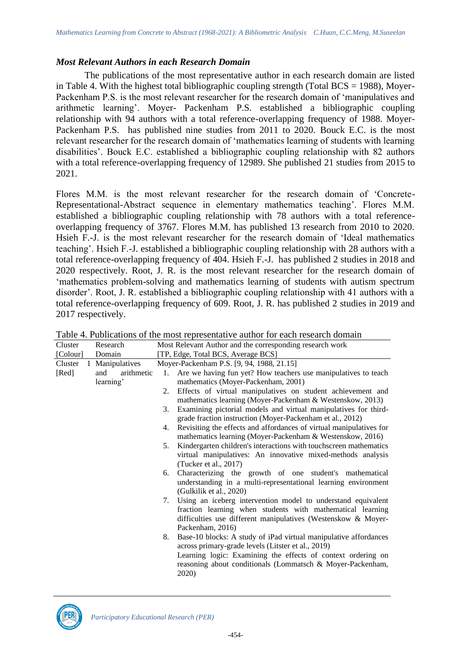## *Most Relevant Authors in each Research Domain*

The publications of the most representative author in each research domain are listed in Table 4. With the highest total bibliographic coupling strength (Total BCS  $=$  1988), Moyer-Packenham P.S. is the most relevant researcher for the research domain of 'manipulatives and arithmetic learning'. Moyer- Packenham P.S. established a bibliographic coupling relationship with 94 authors with a total reference-overlapping frequency of 1988. Moyer-Packenham P.S. has published nine studies from 2011 to 2020. Bouck E.C. is the most relevant researcher for the research domain of 'mathematics learning of students with learning disabilities'. Bouck E.C. established a bibliographic coupling relationship with 82 authors with a total reference-overlapping frequency of 12989. She published 21 studies from 2015 to 2021.

Flores M.M. is the most relevant researcher for the research domain of 'Concrete-Representational-Abstract sequence in elementary mathematics teaching'. Flores M.M. established a bibliographic coupling relationship with 78 authors with a total referenceoverlapping frequency of 3767. Flores M.M. has published 13 research from 2010 to 2020. Hsieh F.-J. is the most relevant researcher for the research domain of 'Ideal mathematics teaching'. Hsieh F.-J. established a bibliographic coupling relationship with 28 authors with a total reference-overlapping frequency of 404. Hsieh F.-J. has published 2 studies in 2018 and 2020 respectively. Root, J. R. is the most relevant researcher for the research domain of 'mathematics problem-solving and mathematics learning of students with autism spectrum disorder'. Root, J. R. established a bibliographic coupling relationship with 41 authors with a total reference-overlapping frequency of 609. Root, J. R. has published 2 studies in 2019 and 2017 respectively.

| Research          | MOSt Relevant Author and the corresponding research work |                                                                     |  |
|-------------------|----------------------------------------------------------|---------------------------------------------------------------------|--|
| Domain            |                                                          | [TP, Edge, Total BCS, Average BCS]                                  |  |
|                   |                                                          | Moyer-Packenham P.S. [9, 94, 1988, 21.15]                           |  |
| arithmetic<br>and | 1.                                                       | Are we having fun yet? How teachers use manipulatives to teach      |  |
| learning'         |                                                          | mathematics (Moyer-Packenham, 2001)                                 |  |
|                   | 2.                                                       | Effects of virtual manipulatives on student achievement and         |  |
|                   |                                                          | mathematics learning (Moyer-Packenham & Westenskow, 2013)           |  |
|                   | 3.                                                       | Examining pictorial models and virtual manipulatives for third-     |  |
|                   |                                                          | grade fraction instruction (Moyer-Packenham et al., 2012)           |  |
|                   | 4.                                                       | Revisiting the effects and affordances of virtual manipulatives for |  |
|                   |                                                          | mathematics learning (Moyer-Packenham & Westenskow, 2016)           |  |
|                   | 5.                                                       | Kindergarten children's interactions with touchscreen mathematics   |  |
|                   |                                                          | virtual manipulatives: An innovative mixed-methods analysis         |  |
|                   |                                                          | (Tucker et al., $2017$ )                                            |  |
|                   | 6.                                                       | Characterizing the growth of one student's mathematical             |  |
|                   |                                                          | understanding in a multi-representational learning environment      |  |
|                   |                                                          | (Gulkilik et al., 2020)                                             |  |
|                   | 7.                                                       | Using an iceberg intervention model to understand equivalent        |  |
|                   |                                                          | fraction learning when students with mathematical learning          |  |
|                   |                                                          | difficulties use different manipulatives (Westenskow & Moyer-       |  |
|                   |                                                          | Packenham, 2016)                                                    |  |
|                   | 8.                                                       | Base-10 blocks: A study of iPad virtual manipulative affordances    |  |
|                   |                                                          | across primary-grade levels (Litster et al., 2019)                  |  |
|                   |                                                          | Learning logic: Examining the effects of context ordering on        |  |
|                   |                                                          | reasoning about conditionals (Lommatsch & Moyer-Packenham,          |  |
|                   |                                                          | 2020)                                                               |  |
|                   | 1 Manipulatives                                          |                                                                     |  |

Table 4. Publications of the most representative author for each research domain Cluster Research  $M_{\text{out}}$   $R_{\text{e}}$  research  $A$  and corresponding research work

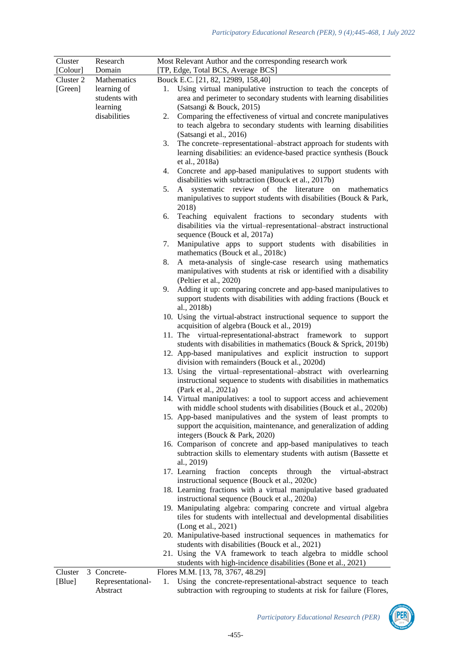| Cluster   | Research          | Most Relevant Author and the corresponding research work                                                                                |  |  |  |  |
|-----------|-------------------|-----------------------------------------------------------------------------------------------------------------------------------------|--|--|--|--|
| [Colour]  | Domain            | [TP, Edge, Total BCS, Average BCS]                                                                                                      |  |  |  |  |
| Cluster 2 | Mathematics       | Bouck E.C. [21, 82, 12989, 158,40]                                                                                                      |  |  |  |  |
| [Green]   | learning of       | 1. Using virtual manipulative instruction to teach the concepts of                                                                      |  |  |  |  |
|           | students with     | area and perimeter to secondary students with learning disabilities                                                                     |  |  |  |  |
|           | learning          | (Satsangi & Bouck, 2015)                                                                                                                |  |  |  |  |
|           | disabilities      | Comparing the effectiveness of virtual and concrete manipulatives<br>2.                                                                 |  |  |  |  |
|           |                   | to teach algebra to secondary students with learning disabilities                                                                       |  |  |  |  |
|           |                   | (Satsangi et al., 2016)                                                                                                                 |  |  |  |  |
|           |                   | The concrete–representational–abstract approach for students with<br>3.                                                                 |  |  |  |  |
|           |                   | learning disabilities: an evidence-based practice synthesis (Bouck                                                                      |  |  |  |  |
|           |                   | et al., 2018a)                                                                                                                          |  |  |  |  |
|           |                   | 4. Concrete and app-based manipulatives to support students with                                                                        |  |  |  |  |
|           |                   | disabilities with subtraction (Bouck et al., 2017b)                                                                                     |  |  |  |  |
|           |                   | systematic review of the literature on mathematics<br>5.<br>A                                                                           |  |  |  |  |
|           |                   | manipulatives to support students with disabilities (Bouck & Park,<br>2018)                                                             |  |  |  |  |
|           |                   | Teaching equivalent fractions to secondary students with<br>6.                                                                          |  |  |  |  |
|           |                   | disabilities via the virtual-representational-abstract instructional<br>sequence (Bouck et al, 2017a)                                   |  |  |  |  |
|           |                   | Manipulative apps to support students with disabilities in<br>7.                                                                        |  |  |  |  |
|           |                   | mathematics (Bouck et al., 2018c)                                                                                                       |  |  |  |  |
|           |                   | A meta-analysis of single-case research using mathematics<br>8.                                                                         |  |  |  |  |
|           |                   | manipulatives with students at risk or identified with a disability                                                                     |  |  |  |  |
|           |                   | (Peltier et al., 2020)                                                                                                                  |  |  |  |  |
|           |                   | Adding it up: comparing concrete and app-based manipulatives to<br>9.                                                                   |  |  |  |  |
|           |                   | support students with disabilities with adding fractions (Bouck et                                                                      |  |  |  |  |
|           |                   | al., 2018b)                                                                                                                             |  |  |  |  |
|           |                   | 10. Using the virtual-abstract instructional sequence to support the                                                                    |  |  |  |  |
|           |                   | acquisition of algebra (Bouck et al., 2019)                                                                                             |  |  |  |  |
|           |                   | 11. The virtual-representational-abstract framework to<br>support                                                                       |  |  |  |  |
|           |                   | students with disabilities in mathematics (Bouck & Sprick, 2019b)                                                                       |  |  |  |  |
|           |                   | 12. App-based manipulatives and explicit instruction to support                                                                         |  |  |  |  |
|           |                   | division with remainders (Bouck et al., 2020d)                                                                                          |  |  |  |  |
|           |                   | 13. Using the virtual-representational-abstract with overlearning                                                                       |  |  |  |  |
|           |                   | instructional sequence to students with disabilities in mathematics                                                                     |  |  |  |  |
|           |                   | (Park et al., 2021a)                                                                                                                    |  |  |  |  |
|           |                   | 14. Virtual manipulatives: a tool to support access and achievement                                                                     |  |  |  |  |
|           |                   | with middle school students with disabilities (Bouck et al., 2020b)                                                                     |  |  |  |  |
|           |                   | 15. App-based manipulatives and the system of least prompts to                                                                          |  |  |  |  |
|           |                   | support the acquisition, maintenance, and generalization of adding                                                                      |  |  |  |  |
|           |                   | integers (Bouck & Park, 2020)                                                                                                           |  |  |  |  |
|           |                   | 16. Comparison of concrete and app-based manipulatives to teach                                                                         |  |  |  |  |
|           |                   | subtraction skills to elementary students with autism (Bassette et                                                                      |  |  |  |  |
|           |                   | al., 2019)                                                                                                                              |  |  |  |  |
|           |                   | 17. Learning<br>fraction<br>concepts<br>through<br>the<br>virtual-abstract                                                              |  |  |  |  |
|           |                   | instructional sequence (Bouck et al., 2020c)                                                                                            |  |  |  |  |
|           |                   | 18. Learning fractions with a virtual manipulative based graduated                                                                      |  |  |  |  |
|           |                   | instructional sequence (Bouck et al., 2020a)                                                                                            |  |  |  |  |
|           |                   | 19. Manipulating algebra: comparing concrete and virtual algebra<br>tiles for students with intellectual and developmental disabilities |  |  |  |  |
|           |                   | (Long et al., 2021)                                                                                                                     |  |  |  |  |
|           |                   | 20. Manipulative-based instructional sequences in mathematics for                                                                       |  |  |  |  |
|           |                   | students with disabilities (Bouck et al., 2021)                                                                                         |  |  |  |  |
|           |                   | 21. Using the VA framework to teach algebra to middle school                                                                            |  |  |  |  |
|           |                   | students with high-incidence disabilities (Bone et al., 2021)                                                                           |  |  |  |  |
| Cluster   | 3 Concrete-       | Flores M.M. [13, 78, 3767, 48.29]                                                                                                       |  |  |  |  |
| [Blue]    | Representational- | 1. Using the concrete-representational-abstract sequence to teach                                                                       |  |  |  |  |

Abstract subtraction with regrouping to students at risk for failure (Flores,

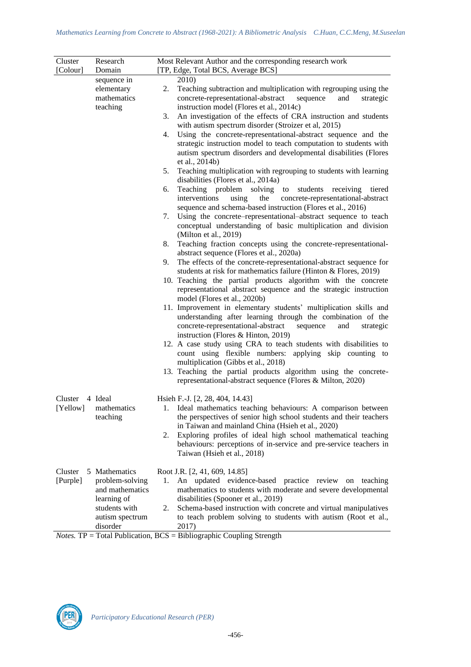| Cluster             | Research                                                                                                           | Most Relevant Author and the corresponding research work                                                                                                                                                                                                                                                                                                                                                                                                                                                                                                              |
|---------------------|--------------------------------------------------------------------------------------------------------------------|-----------------------------------------------------------------------------------------------------------------------------------------------------------------------------------------------------------------------------------------------------------------------------------------------------------------------------------------------------------------------------------------------------------------------------------------------------------------------------------------------------------------------------------------------------------------------|
| [Colour]            | Domain                                                                                                             | [TP, Edge, Total BCS, Average BCS]                                                                                                                                                                                                                                                                                                                                                                                                                                                                                                                                    |
|                     | sequence in<br>elementary<br>mathematics<br>teaching                                                               | 2010)<br>Teaching subtraction and multiplication with regrouping using the<br>2.<br>concrete-representational-abstract<br>sequence<br>and<br>strategic<br>instruction model (Flores et al., 2014c)<br>An investigation of the effects of CRA instruction and students<br>3.<br>with autism spectrum disorder (Stroizer et al, 2015)<br>Using the concrete-representational-abstract sequence and the<br>4.<br>strategic instruction model to teach computation to students with<br>autism spectrum disorders and developmental disabilities (Flores<br>et al., 2014b) |
|                     |                                                                                                                    | Teaching multiplication with regrouping to students with learning<br>5.<br>disabilities (Flores et al., 2014a)                                                                                                                                                                                                                                                                                                                                                                                                                                                        |
|                     |                                                                                                                    | Teaching problem solving<br>students receiving<br>to<br>6.<br>tiered<br>interventions<br>using<br>the<br>concrete-representational-abstract<br>sequence and schema-based instruction (Flores et al., 2016)<br>Using the concrete–representational–abstract sequence to teach<br>7.                                                                                                                                                                                                                                                                                    |
|                     |                                                                                                                    | conceptual understanding of basic multiplication and division<br>(Milton et al., 2019)                                                                                                                                                                                                                                                                                                                                                                                                                                                                                |
|                     |                                                                                                                    | Teaching fraction concepts using the concrete-representational-<br>8.<br>abstract sequence (Flores et al., 2020a)                                                                                                                                                                                                                                                                                                                                                                                                                                                     |
|                     |                                                                                                                    | The effects of the concrete-representational-abstract sequence for<br>9.<br>students at risk for mathematics failure (Hinton & Flores, 2019)                                                                                                                                                                                                                                                                                                                                                                                                                          |
|                     |                                                                                                                    | 10. Teaching the partial products algorithm with the concrete<br>representational abstract sequence and the strategic instruction                                                                                                                                                                                                                                                                                                                                                                                                                                     |
|                     |                                                                                                                    | model (Flores et al., 2020b)<br>11. Improvement in elementary students' multiplication skills and<br>understanding after learning through the combination of the<br>concrete-representational-abstract<br>sequence<br>and<br>strategic<br>instruction (Flores & Hinton, 2019)                                                                                                                                                                                                                                                                                         |
|                     |                                                                                                                    | 12. A case study using CRA to teach students with disabilities to<br>count using flexible numbers: applying skip counting to                                                                                                                                                                                                                                                                                                                                                                                                                                          |
|                     |                                                                                                                    | multiplication (Gibbs et al., 2018)<br>13. Teaching the partial products algorithm using the concrete-<br>representational-abstract sequence (Flores & Milton, 2020)                                                                                                                                                                                                                                                                                                                                                                                                  |
| Cluster<br>[Yellow] | 4 Ideal<br>mathematics<br>teaching                                                                                 | Hsieh F.-J. [2, 28, 404, 14.43]<br>1. Ideal mathematics teaching behaviours: A comparison between<br>the perspectives of senior high school students and their teachers<br>in Taiwan and mainland China (Hsieh et al., 2020)<br>Exploring profiles of ideal high school mathematical teaching<br>2.<br>behaviours: perceptions of in-service and pre-service teachers in<br>Taiwan (Hsieh et al., 2018)                                                                                                                                                               |
| Cluster<br>[Purple] | 5 Mathematics<br>problem-solving<br>and mathematics<br>learning of<br>students with<br>autism spectrum<br>disorder | Root J.R. [2, 41, 609, 14.85]<br>An updated evidence-based practice review on teaching<br>1.<br>mathematics to students with moderate and severe developmental<br>disabilities (Spooner et al., 2019)<br>Schema-based instruction with concrete and virtual manipulatives<br>2.<br>to teach problem solving to students with autism (Root et al.,<br>2017)                                                                                                                                                                                                            |

*Notes.* TP = Total Publication, BCS = Bibliographic Coupling Strength

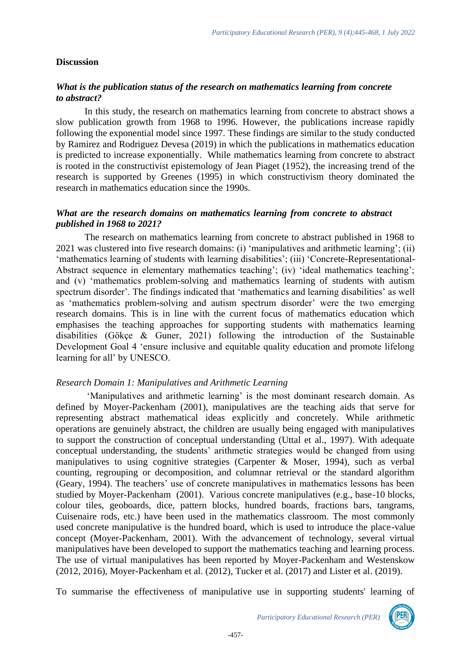### **Discussion**

## *What is the publication status of the research on mathematics learning from concrete to abstract?*

In this study, the research on mathematics learning from concrete to abstract shows a slow publication growth from 1968 to 1996. However, the publications increase rapidly following the exponential model since 1997. These findings are similar to the study conducted by Ramirez and Rodriguez Devesa (2019) in which the publications in mathematics education is predicted to increase exponentially. While mathematics learning from concrete to abstract is rooted in the constructivist epistemology of Jean Piaget (1952), the increasing trend of the research is supported by Greenes (1995) in which constructivism theory dominated the research in mathematics education since the 1990s.

### *What are the research domains on mathematics learning from concrete to abstract published in 1968 to 2021?*

The research on mathematics learning from concrete to abstract published in 1968 to 2021 was clustered into five research domains: (i) 'manipulatives and arithmetic learning'; (ii) 'mathematics learning of students with learning disabilities'; (iii) 'Concrete-Representational-Abstract sequence in elementary mathematics teaching'; (iv) 'ideal mathematics teaching'; and (v) 'mathematics problem-solving and mathematics learning of students with autism spectrum disorder'. The findings indicated that 'mathematics and learning disabilities' as well as 'mathematics problem-solving and autism spectrum disorder' were the two emerging research domains. This is in line with the current focus of mathematics education which emphasises the teaching approaches for supporting students with mathematics learning disabilities (Gökçe & Guner, 2021) following the introduction of the Sustainable Development Goal 4 'ensure inclusive and equitable quality education and promote lifelong learning for all' by UNESCO.

#### *Research Domain 1: Manipulatives and Arithmetic Learning*

'Manipulatives and arithmetic learning' is the most dominant research domain. As defined by Moyer-Packenham (2001), manipulatives are the teaching aids that serve for representing abstract mathematical ideas explicitly and concretely. While arithmetic operations are genuinely abstract, the children are usually being engaged with manipulatives to support the construction of conceptual understanding (Uttal et al., 1997). With adequate conceptual understanding, the students' arithmetic strategies would be changed from using manipulatives to using cognitive strategies (Carpenter & Moser, 1994), such as verbal counting, regrouping or decomposition, and columnar retrieval or the standard algorithm (Geary, 1994). The teachers' use of concrete manipulatives in mathematics lessons has been studied by Moyer-Packenham (2001). Various concrete manipulatives (e.g., base-10 blocks, colour tiles, geoboards, dice, pattern blocks, hundred boards, fractions bars, tangrams, Cuisenaire rods, etc.) have been used in the mathematics classroom. The most commonly used concrete manipulative is the hundred board, which is used to introduce the place-value concept (Moyer-Packenham, 2001). With the advancement of technology, several virtual manipulatives have been developed to support the mathematics teaching and learning process. The use of virtual manipulatives has been reported by Moyer-Packenham and Westenskow (2012, 2016), Moyer-Packenham et al. (2012), Tucker et al. (2017) and Lister et al. (2019).

To summarise the effectiveness of manipulative use in supporting students' learning of

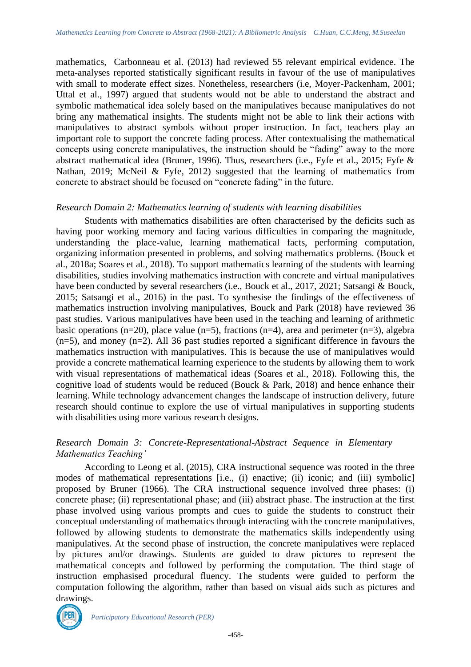mathematics, Carbonneau et al. (2013) had reviewed 55 relevant empirical evidence. The meta-analyses reported statistically significant results in favour of the use of manipulatives with small to moderate effect sizes. Nonetheless, researchers (i.e, Moyer-Packenham, 2001; Uttal et al., 1997) argued that students would not be able to understand the abstract and symbolic mathematical idea solely based on the manipulatives because manipulatives do not bring any mathematical insights. The students might not be able to link their actions with manipulatives to abstract symbols without proper instruction. In fact, teachers play an important role to support the concrete fading process. After contextualising the mathematical concepts using concrete manipulatives, the instruction should be "fading" away to the more abstract mathematical idea (Bruner, 1996). Thus, researchers (i.e., Fyfe et al., 2015; Fyfe & Nathan, 2019; McNeil & Fyfe, 2012) suggested that the learning of mathematics from concrete to abstract should be focused on "concrete fading" in the future.

#### *Research Domain 2: Mathematics learning of students with learning disabilities*

Students with mathematics disabilities are often characterised by the deficits such as having poor working memory and facing various difficulties in comparing the magnitude, understanding the place-value, learning mathematical facts, performing computation, organizing information presented in problems, and solving mathematics problems. (Bouck et al., 2018a; Soares et al., 2018). To support mathematics learning of the students with learning disabilities, studies involving mathematics instruction with concrete and virtual manipulatives have been conducted by several researchers (i.e., Bouck et al., 2017, 2021; Satsangi & Bouck, 2015; Satsangi et al., 2016) in the past. To synthesise the findings of the effectiveness of mathematics instruction involving manipulatives, Bouck and Park (2018) have reviewed 36 past studies. Various manipulatives have been used in the teaching and learning of arithmetic basic operations (n=20), place value (n=5), fractions (n=4), area and perimeter (n=3), algebra (n=5), and money (n=2). All 36 past studies reported a significant difference in favours the mathematics instruction with manipulatives. This is because the use of manipulatives would provide a concrete mathematical learning experience to the students by allowing them to work with visual representations of mathematical ideas (Soares et al., 2018). Following this, the cognitive load of students would be reduced (Bouck & Park, 2018) and hence enhance their learning. While technology advancement changes the landscape of instruction delivery, future research should continue to explore the use of virtual manipulatives in supporting students with disabilities using more various research designs.

# *Research Domain 3: Concrete-Representational-Abstract Sequence in Elementary Mathematics Teaching'*

According to Leong et al. (2015), CRA instructional sequence was rooted in the three modes of mathematical representations [i.e., (i) enactive; (ii) iconic; and (iii) symbolic] proposed by Bruner (1966). The CRA instructional sequence involved three phases: (i) concrete phase; (ii) representational phase; and (iii) abstract phase. The instruction at the first phase involved using various prompts and cues to guide the students to construct their conceptual understanding of mathematics through interacting with the concrete manipulatives, followed by allowing students to demonstrate the mathematics skills independently using manipulatives. At the second phase of instruction, the concrete manipulatives were replaced by pictures and/or drawings. Students are guided to draw pictures to represent the mathematical concepts and followed by performing the computation. The third stage of instruction emphasised procedural fluency. The students were guided to perform the computation following the algorithm, rather than based on visual aids such as pictures and drawings.



*Participatory Educational Research (PER)*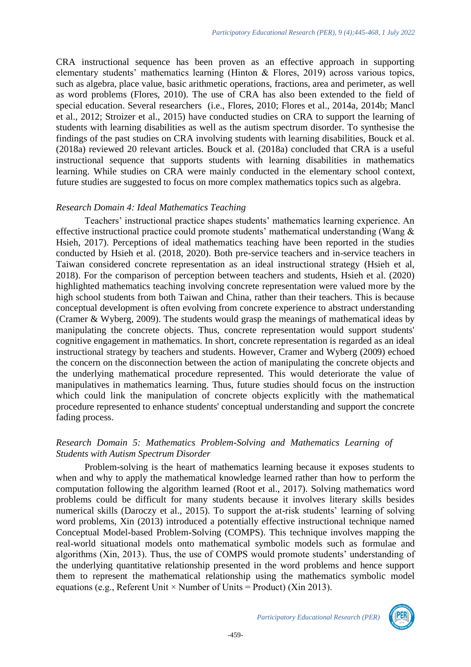CRA instructional sequence has been proven as an effective approach in supporting elementary students' mathematics learning (Hinton & Flores, 2019) across various topics, such as algebra, place value, basic arithmetic operations, fractions, area and perimeter, as well as word problems (Flores, 2010). The use of CRA has also been extended to the field of special education. Several researchers (i.e., Flores, 2010; Flores et al., 2014a, 2014b; Mancl et al., 2012; Stroizer et al., 2015) have conducted studies on CRA to support the learning of students with learning disabilities as well as the autism spectrum disorder. To synthesise the findings of the past studies on CRA involving students with learning disabilities, Bouck et al. (2018a) reviewed 20 relevant articles. Bouck et al. (2018a) concluded that CRA is a useful instructional sequence that supports students with learning disabilities in mathematics learning. While studies on CRA were mainly conducted in the elementary school context, future studies are suggested to focus on more complex mathematics topics such as algebra.

#### *Research Domain 4: Ideal Mathematics Teaching*

Teachers' instructional practice shapes students' mathematics learning experience. An effective instructional practice could promote students' mathematical understanding (Wang & Hsieh, 2017). Perceptions of ideal mathematics teaching have been reported in the studies conducted by Hsieh et al. (2018, 2020). Both pre-service teachers and in-service teachers in Taiwan considered concrete representation as an ideal instructional strategy (Hsieh et al, 2018). For the comparison of perception between teachers and students, Hsieh et al. (2020) highlighted mathematics teaching involving concrete representation were valued more by the high school students from both Taiwan and China, rather than their teachers. This is because conceptual development is often evolving from concrete experience to abstract understanding (Cramer & Wyberg, 2009). The students would grasp the meanings of mathematical ideas by manipulating the concrete objects. Thus, concrete representation would support students' cognitive engagement in mathematics. In short, concrete representation is regarded as an ideal instructional strategy by teachers and students. However, Cramer and Wyberg (2009) echoed the concern on the disconnection between the action of manipulating the concrete objects and the underlying mathematical procedure represented. This would deteriorate the value of manipulatives in mathematics learning. Thus, future studies should focus on the instruction which could link the manipulation of concrete objects explicitly with the mathematical procedure represented to enhance students' conceptual understanding and support the concrete fading process.

## *Research Domain 5: Mathematics Problem-Solving and Mathematics Learning of Students with Autism Spectrum Disorder*

Problem-solving is the heart of mathematics learning because it exposes students to when and why to apply the mathematical knowledge learned rather than how to perform the computation following the algorithm learned (Root et al., 2017). Solving mathematics word problems could be difficult for many students because it involves literary skills besides numerical skills (Daroczy et al., 2015). To support the at-risk students' learning of solving word problems, Xin (2013) introduced a potentially effective instructional technique named Conceptual Model-based Problem-Solving (COMPS). This technique involves mapping the real-world situational models onto mathematical symbolic models such as formulae and algorithms (Xin, 2013). Thus, the use of COMPS would promote students' understanding of the underlying quantitative relationship presented in the word problems and hence support them to represent the mathematical relationship using the mathematics symbolic model equations (e.g., Referent Unit  $\times$  Number of Units = Product) (Xin 2013).

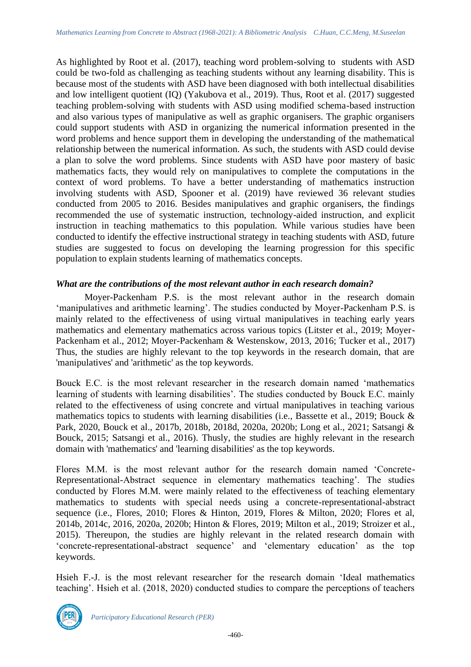As highlighted by Root et al. (2017), teaching word problem-solving to students with ASD could be two-fold as challenging as teaching students without any learning disability. This is because most of the students with ASD have been diagnosed with both intellectual disabilities and low intelligent quotient (IQ) (Yakubova et al., 2019). Thus, Root et al. (2017) suggested teaching problem-solving with students with ASD using modified schema-based instruction and also various types of manipulative as well as graphic organisers. The graphic organisers could support students with ASD in organizing the numerical information presented in the word problems and hence support them in developing the understanding of the mathematical relationship between the numerical information. As such, the students with ASD could devise a plan to solve the word problems. Since students with ASD have poor mastery of basic mathematics facts, they would rely on manipulatives to complete the computations in the context of word problems. To have a better understanding of mathematics instruction involving students with ASD, Spooner et al. (2019) have reviewed 36 relevant studies conducted from 2005 to 2016. Besides manipulatives and graphic organisers, the findings recommended the use of systematic instruction, technology-aided instruction, and explicit instruction in teaching mathematics to this population. While various studies have been conducted to identify the effective instructional strategy in teaching students with ASD, future studies are suggested to focus on developing the learning progression for this specific population to explain students learning of mathematics concepts.

# *What are the contributions of the most relevant author in each research domain?*

Moyer-Packenham P.S. is the most relevant author in the research domain 'manipulatives and arithmetic learning'. The studies conducted by Moyer-Packenham P.S. is mainly related to the effectiveness of using virtual manipulatives in teaching early years mathematics and elementary mathematics across various topics (Litster et al., 2019; Moyer-Packenham et al., 2012; Moyer-Packenham & Westenskow, 2013, 2016; Tucker et al., 2017) Thus, the studies are highly relevant to the top keywords in the research domain, that are 'manipulatives' and 'arithmetic' as the top keywords.

Bouck E.C. is the most relevant researcher in the research domain named 'mathematics learning of students with learning disabilities'. The studies conducted by Bouck E.C. mainly related to the effectiveness of using concrete and virtual manipulatives in teaching various mathematics topics to students with learning disabilities (i.e., Bassette et al., 2019; Bouck & Park, 2020, Bouck et al., 2017b, 2018b, 2018d, 2020a, 2020b; Long et al., 2021; Satsangi & Bouck, 2015; Satsangi et al., 2016). Thusly, the studies are highly relevant in the research domain with 'mathematics' and 'learning disabilities' as the top keywords.

Flores M.M. is the most relevant author for the research domain named 'Concrete-Representational-Abstract sequence in elementary mathematics teaching'. The studies conducted by Flores M.M. were mainly related to the effectiveness of teaching elementary mathematics to students with special needs using a concrete-representational-abstract sequence (i.e., Flores, 2010; Flores & Hinton, 2019, Flores & Milton, 2020; Flores et al, 2014b, 2014c, 2016, 2020a, 2020b; Hinton & Flores, 2019; Milton et al., 2019; Stroizer et al., 2015). Thereupon, the studies are highly relevant in the related research domain with 'concrete-representational-abstract sequence' and 'elementary education' as the top keywords.

Hsieh F.-J. is the most relevant researcher for the research domain 'Ideal mathematics teaching'. Hsieh et al. (2018, 2020) conducted studies to compare the perceptions of teachers

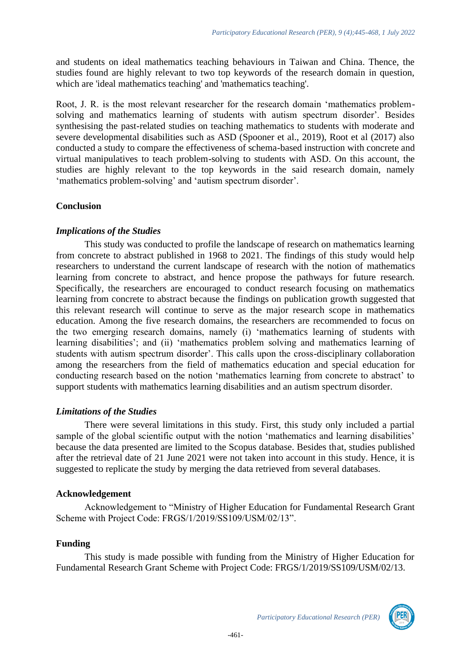and students on ideal mathematics teaching behaviours in Taiwan and China. Thence, the studies found are highly relevant to two top keywords of the research domain in question, which are 'ideal mathematics teaching' and 'mathematics teaching'.

Root, J. R. is the most relevant researcher for the research domain 'mathematics problemsolving and mathematics learning of students with autism spectrum disorder'. Besides synthesising the past-related studies on teaching mathematics to students with moderate and severe developmental disabilities such as ASD (Spooner et al., 2019), Root et al (2017) also conducted a study to compare the effectiveness of schema-based instruction with concrete and virtual manipulatives to teach problem-solving to students with ASD. On this account, the studies are highly relevant to the top keywords in the said research domain, namely 'mathematics problem-solving' and 'autism spectrum disorder'.

# **Conclusion**

## *Implications of the Studies*

This study was conducted to profile the landscape of research on mathematics learning from concrete to abstract published in 1968 to 2021. The findings of this study would help researchers to understand the current landscape of research with the notion of mathematics learning from concrete to abstract, and hence propose the pathways for future research. Specifically, the researchers are encouraged to conduct research focusing on mathematics learning from concrete to abstract because the findings on publication growth suggested that this relevant research will continue to serve as the major research scope in mathematics education. Among the five research domains, the researchers are recommended to focus on the two emerging research domains, namely (i) 'mathematics learning of students with learning disabilities'; and (ii) 'mathematics problem solving and mathematics learning of students with autism spectrum disorder'. This calls upon the cross-disciplinary collaboration among the researchers from the field of mathematics education and special education for conducting research based on the notion 'mathematics learning from concrete to abstract' to support students with mathematics learning disabilities and an autism spectrum disorder.

# *Limitations of the Studies*

There were several limitations in this study. First, this study only included a partial sample of the global scientific output with the notion 'mathematics and learning disabilities' because the data presented are limited to the Scopus database. Besides that, studies published after the retrieval date of 21 June 2021 were not taken into account in this study. Hence, it is suggested to replicate the study by merging the data retrieved from several databases.

#### **Acknowledgement**

Acknowledgement to "Ministry of Higher Education for Fundamental Research Grant Scheme with Project Code: FRGS/1/2019/SS109/USM/02/13".

## **Funding**

This study is made possible with funding from the Ministry of Higher Education for Fundamental Research Grant Scheme with Project Code: FRGS/1/2019/SS109/USM/02/13.

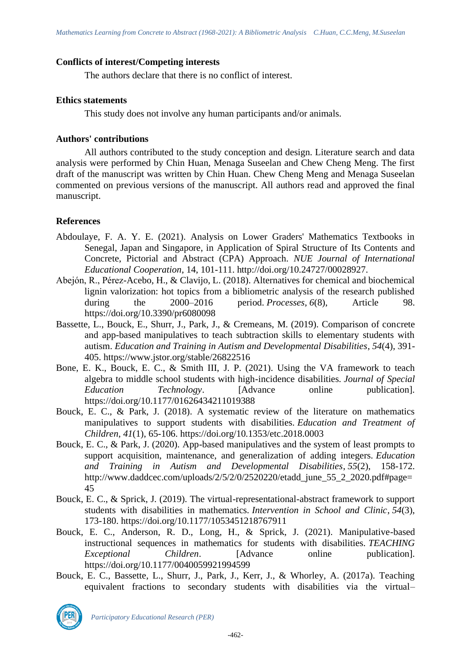## **Conflicts of interest/Competing interests**

The authors declare that there is no conflict of interest.

## **Ethics statements**

This study does not involve any human participants and/or animals.

# **Authors' contributions**

All authors contributed to the study conception and design. Literature search and data analysis were performed by Chin Huan, Menaga Suseelan and Chew Cheng Meng. The first draft of the manuscript was written by Chin Huan. Chew Cheng Meng and Menaga Suseelan commented on previous versions of the manuscript. All authors read and approved the final manuscript.

# **References**

- Abdoulaye, F. A. Y. E. (2021). Analysis on Lower Graders' Mathematics Textbooks in Senegal, Japan and Singapore, in Application of Spiral Structure of Its Contents and Concrete, Pictorial and Abstract (CPA) Approach. *NUE Journal of International Educational Cooperation*, 14, 101-111. http://doi.org/10.24727/00028927.
- Abejón, R., Pérez-Acebo, H., & Clavijo, L. (2018). Alternatives for chemical and biochemical lignin valorization: hot topics from a bibliometric analysis of the research published during the 2000–2016 period. *Processes*, *6*(8), Article 98. https://doi.org/10.3390/pr6080098
- Bassette, L., Bouck, E., Shurr, J., Park, J., & Cremeans, M. (2019). Comparison of concrete and app-based manipulatives to teach subtraction skills to elementary students with autism. *Education and Training in Autism and Developmental Disabilities*, *54*(4), 391- 405. https://www.jstor.org/stable/26822516
- Bone, E. K., Bouck, E. C., & Smith III, J. P. (2021). Using the VA framework to teach algebra to middle school students with high-incidence disabilities. *Journal of Special Education Technology*. [Advance online publication]. https://doi.org/10.1177/01626434211019388
- Bouck, E. C., & Park, J. (2018). A systematic review of the literature on mathematics manipulatives to support students with disabilities. *Education and Treatment of Children*, *41*(1), 65-106. https://doi.org/10.1353/etc.2018.0003
- Bouck, E. C., & Park, J. (2020). App-based manipulatives and the system of least prompts to support acquisition, maintenance, and generalization of adding integers. *Education and Training in Autism and Developmental Disabilities*, *55*(2), 158-172. http://www.daddcec.com/uploads/2/5/2/0/2520220/etadd\_june\_55\_2\_2020.pdf#page= 45
- Bouck, E. C., & Sprick, J. (2019). The virtual-representational-abstract framework to support students with disabilities in mathematics. *Intervention in School and Clinic*, *54*(3), 173-180. https://doi.org/10.1177/1053451218767911
- Bouck, E. C., Anderson, R. D., Long, H., & Sprick, J. (2021). Manipulative-based instructional sequences in mathematics for students with disabilities. *TEACHING Exceptional Children*. [Advance online publication]. https://doi.org/10.1177/0040059921994599
- Bouck, E. C., Bassette, L., Shurr, J., Park, J., Kerr, J., & Whorley, A. (2017a). Teaching equivalent fractions to secondary students with disabilities via the virtual–



*Participatory Educational Research (PER)*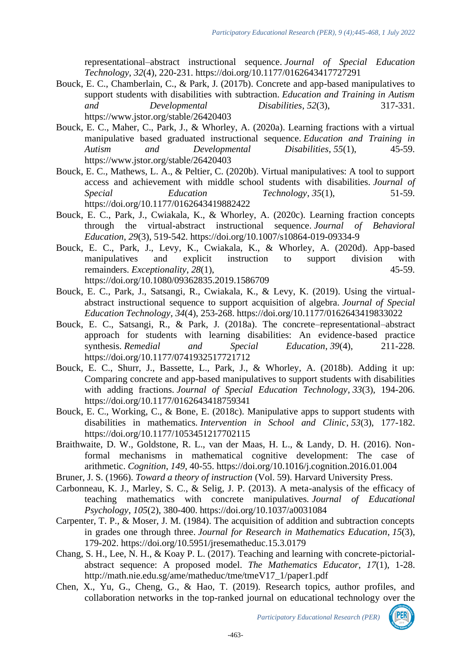representational–abstract instructional sequence. *Journal of Special Education Technology*, *32*(4), 220-231. https://doi.org/10.1177/0162643417727291

- Bouck, E. C., Chamberlain, C., & Park, J. (2017b). Concrete and app-based manipulatives to support students with disabilities with subtraction. *Education and Training in Autism and Developmental Disabilities*, *52*(3), 317-331. https://www.jstor.org/stable/26420403
- Bouck, E. C., Maher, C., Park, J., & Whorley, A. (2020a). Learning fractions with a virtual manipulative based graduated instructional sequence. *Education and Training in Autism and Developmental Disabilities*, *55*(1), 45-59. https://www.jstor.org/stable/26420403
- Bouck, E. C., Mathews, L. A., & Peltier, C. (2020b). Virtual manipulatives: A tool to support access and achievement with middle school students with disabilities. *Journal of Special Education Technology*, 35(1), 51-59. https://doi.org/10.1177/0162643419882422
- Bouck, E. C., Park, J., Cwiakala, K., & Whorley, A. (2020c). Learning fraction concepts through the virtual-abstract instructional sequence. *Journal of Behavioral Education*, *29*(3), 519-542. https://doi.org/10.1007/s10864-019-09334-9
- Bouck, E. C., Park, J., Levy, K., Cwiakala, K., & Whorley, A. (2020d). App-based manipulatives and explicit instruction to support division with remainders. *Exceptionality*,  $28(1)$ , 45-59. https://doi.org/10.1080/09362835.2019.1586709
- Bouck, E. C., Park, J., Satsangi, R., Cwiakala, K., & Levy, K. (2019). Using the virtualabstract instructional sequence to support acquisition of algebra. *Journal of Special Education Technology*, *34*(4), 253-268. https://doi.org/10.1177/0162643419833022
- Bouck, E. C., Satsangi, R., & Park, J. (2018a). The concrete–representational–abstract approach for students with learning disabilities: An evidence-based practice synthesis. *Remedial and Special Education*, *39*(4), 211-228. https://doi.org/10.1177/0741932517721712
- Bouck, E. C., Shurr, J., Bassette, L., Park, J., & Whorley, A. (2018b). Adding it up: Comparing concrete and app-based manipulatives to support students with disabilities with adding fractions. *Journal of Special Education Technology*, *33*(3), 194-206. https://doi.org/10.1177/0162643418759341
- Bouck, E. C., Working, C., & Bone, E. (2018c). Manipulative apps to support students with disabilities in mathematics. *Intervention in School and Clinic*, *53*(3), 177-182. https://doi.org/10.1177/1053451217702115
- Braithwaite, D. W., Goldstone, R. L., van der Maas, H. L., & Landy, D. H. (2016). Nonformal mechanisms in mathematical cognitive development: The case of arithmetic. *Cognition*, *149*, 40-55. https://doi.org/10.1016/j.cognition.2016.01.004
- Bruner, J. S. (1966). *Toward a theory of instruction* (Vol. 59). Harvard University Press.
- Carbonneau, K. J., Marley, S. C., & Selig, J. P. (2013). A meta-analysis of the efficacy of teaching mathematics with concrete manipulatives. *Journal of Educational Psychology*, *105*(2), 380-400. https://doi.org/10.1037/a0031084
- Carpenter, T. P., & Moser, J. M. (1984). The acquisition of addition and subtraction concepts in grades one through three. *Journal for Research in Mathematics Education*, *15*(3), 179-202. https://doi.org/10.5951/jresematheduc.15.3.0179
- Chang, S. H., Lee, N. H., & Koay P. L. (2017). Teaching and learning with concrete-pictorialabstract sequence: A proposed model. *The Mathematics Educator*, *17*(1), 1-28. http://math.nie.edu.sg/ame/matheduc/tme/tmeV17\_1/paper1.pdf
- Chen, X., Yu, G., Cheng, G., & Hao, T. (2019). Research topics, author profiles, and collaboration networks in the top-ranked journal on educational technology over the

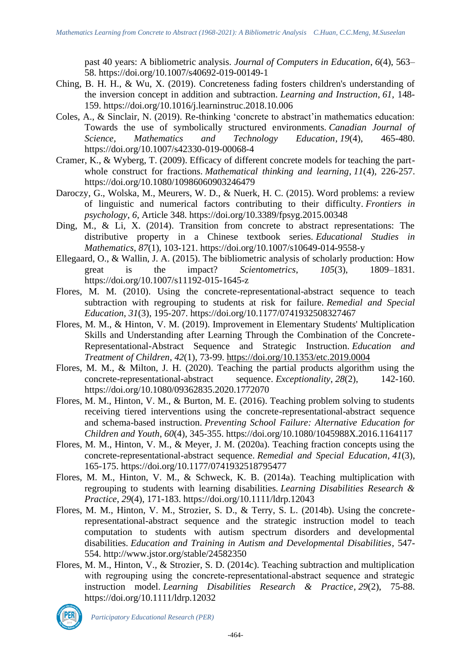past 40 years: A bibliometric analysis. *Journal of Computers in Education*, *6*(4), 563– 58. https://doi.org/10.1007/s40692-019-00149-1

- Ching, B. H. H., & Wu, X. (2019). Concreteness fading fosters children's understanding of the inversion concept in addition and subtraction. *Learning and Instruction*, *61*, 148- 159. https://doi.org/10.1016/j.learninstruc.2018.10.006
- Coles, A., & Sinclair, N. (2019). Re-thinking 'concrete to abstract'in mathematics education: Towards the use of symbolically structured environments. *Canadian Journal of Science, Mathematics and Technology Education*, *19*(4), 465-480. https://doi.org/10.1007/s42330-019-00068-4
- Cramer, K., & Wyberg, T. (2009). Efficacy of different concrete models for teaching the partwhole construct for fractions. *Mathematical thinking and learning*, *11*(4), 226-257. https://doi.org/10.1080/10986060903246479
- Daroczy, G., Wolska, M., Meurers, W. D., & Nuerk, H. C. (2015). Word problems: a review of linguistic and numerical factors contributing to their difficulty. *Frontiers in psychology*, *6*, Article 348. https://doi.org/10.3389/fpsyg.2015.00348
- Ding, M., & Li, X. (2014). Transition from concrete to abstract representations: The distributive property in a Chinese textbook series. *Educational Studies in Mathematics*, *87*(1), 103-121. https://doi.org/10.1007/s10649-014-9558-y
- Ellegaard, O., & Wallin, J. A. (2015). The bibliometric analysis of scholarly production: How great is the impact? *Scientometrics*, *105*(3), 1809–1831. https://doi.org/10.1007/s11192-015-1645-z
- Flores, M. M. (2010). Using the concrete-representational-abstract sequence to teach subtraction with regrouping to students at risk for failure. *Remedial and Special Education*, *31*(3), 195-207. https://doi.org/10.1177/0741932508327467
- Flores, M. M., & Hinton, V. M. (2019). Improvement in Elementary Students' Multiplication Skills and Understanding after Learning Through the Combination of the Concrete-Representational-Abstract Sequence and Strategic Instruction. *Education and Treatment of Children*, *42*(1), 73-99.<https://doi.org/10.1353/etc.2019.0004>
- Flores, M. M., & Milton, J. H. (2020). Teaching the partial products algorithm using the concrete-representational-abstract sequence. *Exceptionality*, *28*(2), 142-160. https://doi.org/10.1080/09362835.2020.1772070
- Flores, M. M., Hinton, V. M., & Burton, M. E. (2016). Teaching problem solving to students receiving tiered interventions using the concrete-representational-abstract sequence and schema-based instruction. *Preventing School Failure: Alternative Education for Children and Youth*, *60*(4), 345-355. https://doi.org/10.1080/1045988X.2016.1164117
- Flores, M. M., Hinton, V. M., & Meyer, J. M. (2020a). Teaching fraction concepts using the concrete-representational-abstract sequence. *Remedial and Special Education*, *41*(3), 165-175. https://doi.org/10.1177/0741932518795477
- Flores, M. M., Hinton, V. M., & Schweck, K. B. (2014a). Teaching multiplication with regrouping to students with learning disabilities. *Learning Disabilities Research & Practice*, *29*(4), 171-183. https://doi.org/10.1111/ldrp.12043
- Flores, M. M., Hinton, V. M., Strozier, S. D., & Terry, S. L. (2014b). Using the concreterepresentational-abstract sequence and the strategic instruction model to teach computation to students with autism spectrum disorders and developmental disabilities. *Education and Training in Autism and Developmental Disabilities*, 547- 554. http://www.jstor.org/stable/24582350
- Flores, M. M., Hinton, V., & Strozier, S. D. (2014c). Teaching subtraction and multiplication with regrouping using the concrete-representational-abstract sequence and strategic instruction model. *Learning Disabilities Research & Practice*, *29*(2), 75-88. https://doi.org/10.1111/ldrp.12032



*Participatory Educational Research (PER)*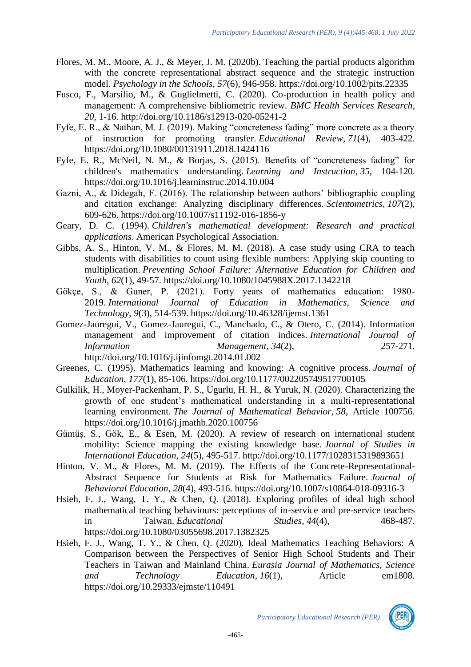- Flores, M. M., Moore, A. J., & Meyer, J. M. (2020b). Teaching the partial products algorithm with the concrete representational abstract sequence and the strategic instruction model. *Psychology in the Schools*, *57*(6), 946-958. https://doi.org/10.1002/pits.22335
- Fusco, F., Marsilio, M., & Guglielmetti, C. (2020). Co-production in health policy and management: A comprehensive bibliometric review. *BMC Health Services Research*, *20*, 1-16. http://doi.org/10.1186/s12913-020-05241-2
- Fyfe, E. R., & Nathan, M. J. (2019). Making "concreteness fading" more concrete as a theory of instruction for promoting transfer. *Educational Review*, *71*(4), 403-422. https://doi.org/10.1080/00131911.2018.1424116
- Fyfe, E. R., McNeil, N. M., & Borjas, S. (2015). Benefits of "concreteness fading" for children's mathematics understanding. *Learning and Instruction*, *35*, 104-120. https://doi.org/10.1016/j.learninstruc.2014.10.004
- Gazni, A., & Didegah, F. (2016). The relationship between authors' bibliographic coupling and citation exchange: Analyzing disciplinary differences. *Scientometrics*, *107*(2), 609-626. https://doi.org/10.1007/s11192-016-1856-y
- Geary, D. C. (1994). *Children's mathematical development: Research and practical applications*. American Psychological Association.
- Gibbs, A. S., Hinton, V. M., & Flores, M. M. (2018). A case study using CRA to teach students with disabilities to count using flexible numbers: Applying skip counting to multiplication. *Preventing School Failure: Alternative Education for Children and Youth*, *62*(1), 49-57. https://doi.org/10.1080/1045988X.2017.1342218
- Gökçe, S., & Guner, P. (2021). Forty years of mathematics education: 1980- 2019. *International Journal of Education in Mathematics, Science and Technology*, *9*(3), 514-539. https://doi.org/10.46328/ijemst.1361
- Gomez-Jauregui, V., Gomez-Jauregui, C., Manchado, C., & Otero, C. (2014). Information management and improvement of citation indices. *International Journal of Information Management*, *34*(2), 257-271. http://doi.org/10.1016/j.ijinfomgt.2014.01.002
- Greenes, C. (1995). Mathematics learning and knowing: A cognitive process. *Journal of Education*, *177*(1), 85-106. https://doi.org/10.1177/002205749517700105
- Gulkilik, H., Moyer-Packenham, P. S., Ugurlu, H. H., & Yuruk, N. (2020). Characterizing the growth of one student's mathematical understanding in a multi-representational learning environment. *The Journal of Mathematical Behavior*, *58*, Article 100756. https://doi.org/10.1016/j.jmathb.2020.100756
- Gümüş, S., Gök, E., & Esen, M. (2020). A review of research on international student mobility: Science mapping the existing knowledge base. *Journal of Studies in International Education*, *24*(5), 495-517. http://doi.org/10.1177/1028315319893651
- Hinton, V. M., & Flores, M. M. (2019). The Effects of the Concrete-Representational-Abstract Sequence for Students at Risk for Mathematics Failure. *Journal of Behavioral Education*, *28*(4), 493-516. https://doi.org/10.1007/s10864-018-09316-3
- Hsieh, F. J., Wang, T. Y., & Chen, Q. (2018). Exploring profiles of ideal high school mathematical teaching behaviours: perceptions of in-service and pre-service teachers in Taiwan. *Educational Studies*, *44*(4), 468-487. https://doi.org/10.1080/03055698.2017.1382325
- Hsieh, F. J., Wang, T. Y., & Chen, Q. (2020). Ideal Mathematics Teaching Behaviors: A Comparison between the Perspectives of Senior High School Students and Their Teachers in Taiwan and Mainland China. *Eurasia Journal of Mathematics, Science and Technology Education*, *16*(1), Article em1808. https://doi.org/10.29333/ejmste/110491

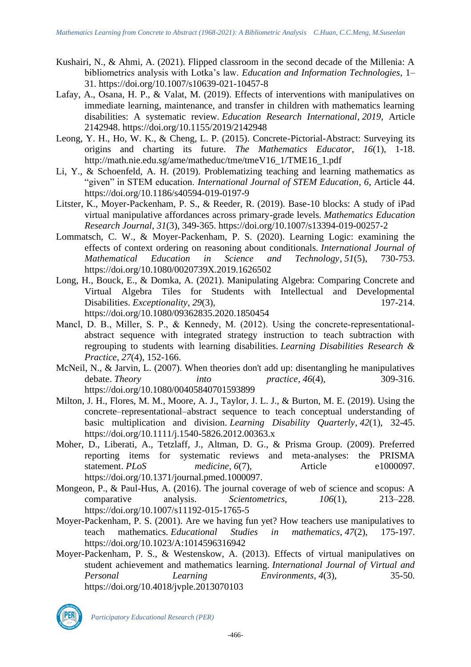- Kushairi, N., & Ahmi, A. (2021). Flipped classroom in the second decade of the Millenia: A bibliometrics analysis with Lotka's law. *Education and Information Technologies*, 1– 31. https://doi.org/10.1007/s10639-021-10457-8
- Lafay, A., Osana, H. P., & Valat, M. (2019). Effects of interventions with manipulatives on immediate learning, maintenance, and transfer in children with mathematics learning disabilities: A systematic review. *Education Research International*, *2019,* Article 2142948. https://doi.org/10.1155/2019/2142948
- Leong, Y. H., Ho, W. K., & Cheng, L. P. (2015). Concrete-Pictorial-Abstract: Surveying its origins and charting its future. *The Mathematics Educator*, *16*(1), 1-18. http://math.nie.edu.sg/ame/matheduc/tme/tmeV16\_1/TME16\_1.pdf
- Li, Y., & Schoenfeld, A. H. (2019). Problematizing teaching and learning mathematics as "given" in STEM education. *International Journal of STEM Education*, *6*, Article 44. https://doi.org/10.1186/s40594-019-0197-9
- Litster, K., Moyer-Packenham, P. S., & Reeder, R. (2019). Base-10 blocks: A study of iPad virtual manipulative affordances across primary-grade levels. *Mathematics Education Research Journal*, *31*(3), 349-365. https://doi.org/10.1007/s13394-019-00257-2
- Lommatsch, C. W., & Moyer-Packenham, P. S. (2020). Learning Logic: examining the effects of context ordering on reasoning about conditionals. *International Journal of Mathematical Education in Science and Technology*, *51*(5), 730-753. https://doi.org/10.1080/0020739X.2019.1626502
- Long, H., Bouck, E., & Domka, A. (2021). Manipulating Algebra: Comparing Concrete and Virtual Algebra Tiles for Students with Intellectual and Developmental Disabilities. *Exceptionality*, 29(3), 197-214. https://doi.org/10.1080/09362835.2020.1850454
- Mancl, D. B., Miller, S. P., & Kennedy, M. (2012). Using the concrete-representationalabstract sequence with integrated strategy instruction to teach subtraction with regrouping to students with learning disabilities. *Learning Disabilities Research & Practice*, *27*(4), 152-166.
- McNeil, N., & Jarvin, L. (2007). When theories don't add up: disentangling he manipulatives debate. *Theory into practice*, *46*(4), 309-316. https://doi.org/10.1080/00405840701593899
- Milton, J. H., Flores, M. M., Moore, A. J., Taylor, J. L. J., & Burton, M. E. (2019). Using the concrete–representational–abstract sequence to teach conceptual understanding of basic multiplication and division. *Learning Disability Quarterly*, *42*(1), 32-45. https://doi.org/10.1111/j.1540-5826.2012.00363.x
- Moher, D., Liberati, A., Tetzlaff, J., Altman, D. G., & Prisma Group. (2009). Preferred reporting items for systematic reviews and meta-analyses: the PRISMA statement. *PLoS medicine*, *6*(7), Article e1000097. https://doi.org/10.1371/journal.pmed.1000097.
- Mongeon, P., & Paul-Hus, A. (2016). The journal coverage of web of science and scopus: A comparative analysis. *Scientometrics, 106*(1), 213–228. https://doi.org/10.1007/s11192-015-1765-5
- Moyer-Packenham, P. S. (2001). Are we having fun yet? How teachers use manipulatives to teach mathematics. *Educational Studies in mathematics*, *47*(2), 175-197. https://doi.org/10.1023/A:1014596316942
- Moyer-Packenham, P. S., & Westenskow, A. (2013). Effects of virtual manipulatives on student achievement and mathematics learning. *International Journal of Virtual and Personal Learning Environments*, *4*(3), 35-50. https://doi.org/10.4018/jvple.2013070103

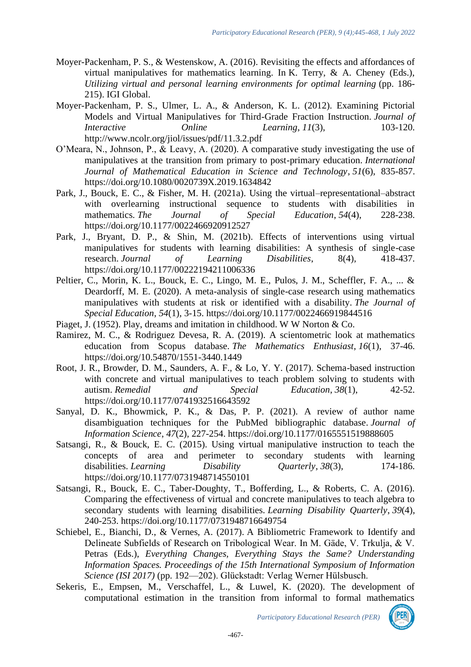- Moyer-Packenham, P. S., & Westenskow, A. (2016). Revisiting the effects and affordances of virtual manipulatives for mathematics learning. In K. Terry,  $\&$  A. Cheney (Eds.), *Utilizing virtual and personal learning environments for optimal learning* (pp. 186- 215). IGI Global.
- Moyer-Packenham, P. S., Ulmer, L. A., & Anderson, K. L. (2012). Examining Pictorial Models and Virtual Manipulatives for Third-Grade Fraction Instruction. *Journal of Interactive Online Learning*, 11(3), 103-120. http://www.ncolr.org/jiol/issues/pdf/11.3.2.pdf
- O'Meara, N., Johnson, P., & Leavy, A. (2020). A comparative study investigating the use of manipulatives at the transition from primary to post-primary education. *International Journal of Mathematical Education in Science and Technology*, *51*(6), 835-857. https://doi.org/10.1080/0020739X.2019.1634842
- Park, J., Bouck, E. C., & Fisher, M. H. (2021a). Using the virtual–representational–abstract with overlearning instructional sequence to students with disabilities in mathematics. *The Journal of Special Education*, *54*(4), 228-238. https://doi.org/10.1177/0022466920912527
- Park, J., Bryant, D. P., & Shin, M. (2021b). Effects of interventions using virtual manipulatives for students with learning disabilities: A synthesis of single-case research. *Journal of Learning Disabilities*, 8(4), 418-437. https://doi.org/10.1177/00222194211006336
- Peltier, C., Morin, K. L., Bouck, E. C., Lingo, M. E., Pulos, J. M., Scheffler, F. A., ... & Deardorff, M. E. (2020). A meta-analysis of single-case research using mathematics manipulatives with students at risk or identified with a disability. *The Journal of Special Education*, *54*(1), 3-15. https://doi.org/10.1177/0022466919844516
- Piaget, J. (1952). Play, dreams and imitation in childhood. W W Norton & Co.
- Ramirez, M. C., & Rodriguez Devesa, R. A. (2019). A scientometric look at mathematics education from Scopus database. *The Mathematics Enthusiast*, *16*(1), 37-46. https://doi.org/10.54870/1551-3440.1449
- Root, J. R., Browder, D. M., Saunders, A. F., & Lo, Y. Y. (2017). Schema-based instruction with concrete and virtual manipulatives to teach problem solving to students with autism. *Remedial and Special Education*, *38*(1), 42-52. https://doi.org/10.1177/0741932516643592
- Sanyal, D. K., Bhowmick, P. K., & Das, P. P. (2021). A review of author name disambiguation techniques for the PubMed bibliographic database. *Journal of Information Science*, *47*(2), 227-254. https://doi.org/10.1177/0165551519888605
- Satsangi, R., & Bouck, E. C. (2015). Using virtual manipulative instruction to teach the concepts of area and perimeter to secondary students with learning disabilities. *Learning Disability Quarterly*, 38(3), 174-186. https://doi.org/10.1177/0731948714550101
- Satsangi, R., Bouck, E. C., Taber-Doughty, T., Bofferding, L., & Roberts, C. A. (2016). Comparing the effectiveness of virtual and concrete manipulatives to teach algebra to secondary students with learning disabilities. *Learning Disability Quarterly*, *39*(4), 240-253. https://doi.org/10.1177/0731948716649754
- Schiebel, E., Bianchi, D., & Vernes, A. (2017). A Bibliometric Framework to Identify and Delineate Subfields of Research on Tribological Wear. In M. Gäde, V. Trkulja, & V. Petras (Eds.), *Everything Changes, Everything Stays the Same? Understanding Information Spaces. Proceedings of the 15th International Symposium of Information Science (ISI 2017)* (pp. 192—202). Glückstadt: Verlag Werner Hülsbusch.
- Sekeris, E., Empsen, M., Verschaffel, L., & Luwel, K. (2020). The development of computational estimation in the transition from informal to formal mathematics